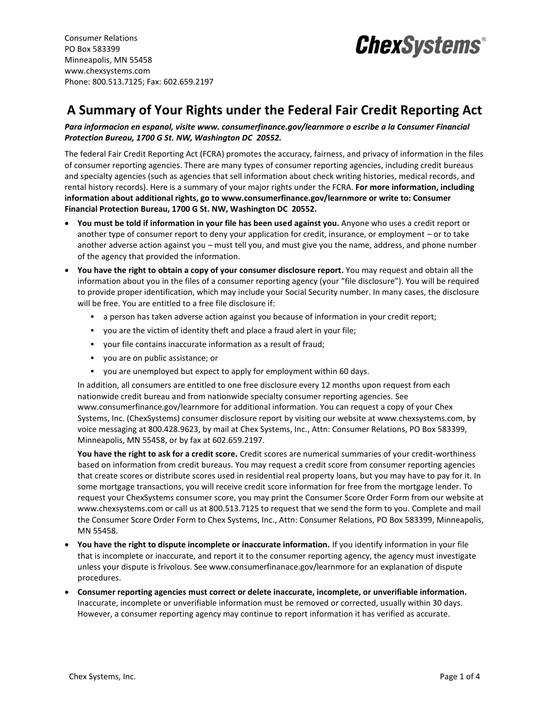Consumer Relations PO Box 583399 Minneapolis, MN 55458 www.chexsystems.com Phone: 800.513.7125; Fax: 602.659.2197



## **A Summary of Your Rights under the Federal Fair Credit Reporting Act**

*Para informacion en espanol, visite www. consumerfinance.gov/learnmore o escribe a la Consumer Financial Protection Bureau, 1700 G St. NW, Washington DC 20552.*

The federal Fair Credit Reporting Act (FCRA) promotes the accuracy, fairness, and privacy of information in the files of consumer reporting agencies. There are many types of consumer reporting agencies, including credit bureaus and specialty agencies (such as agencies that sell information about check writing histories, medical records, and rental history records). Here is a summary of your major rights under the FCRA. **For more information, including information about additional rights, go to www.consumerfinance.gov/learnmore or write to: Consumer Financial Protection Bureau, 1700 G St. NW, Washington DC 20552.**

- **You must be told if information in your file has been used against you.** Anyone who uses a credit report or another type of consumer report to deny your application for credit, insurance, or employment – or to take another adverse action against you – must tell you, and must give you the name, address, and phone number of the agency that provided the information.
- **You have the right to obtain a copy of your consumer disclosure report.** You may request and obtain all the information about you in the files of a consumer reporting agency (your "file disclosure"). You will be required to provide proper identification, which may include your Social Security number. In many cases, the disclosure will be free. You are entitled to a free file disclosure if:
	- a person has taken adverse action against you because of information in your credit report;
	- you are the victim of identity theft and place a fraud alert in your file;
	- your file contains inaccurate information as a result of fraud;
	- you are on public assistance; or
	- you are unemployed but expect to apply for employment within 60 days.

In addition, all consumers are entitled to one free disclosure every 12 months upon request from each nationwide credit bureau and from nationwide specialty consumer reporting agencies. See www.consumerfinance.gov/learnmore for additional information. You can request a copy of your Chex Systems, Inc. (ChexSystems) consumer disclosure report by visiting our website at www.chexsystems.com, by voice messaging at 800.428.9623, by mail at Chex Systems, Inc., Attn: Consumer Relations, PO Box 583399, Minneapolis, MN 55458, or by fax at 602.659.2197.

**You have the right to ask for a credit score.** Credit scores are numerical summaries of your credit-worthiness based on information from credit bureaus. You may request a credit score from consumer reporting agencies that create scores or distribute scores used in residential real property loans, but you may have to pay for it. In some mortgage transactions, you will receive credit score information for free from the mortgage lender. To request your ChexSystems consumer score, you may print the Consumer Score Order Form from our website at www.chexsystems.com or call us at 800.513.7125 to request that we send the form to you. Complete and mail the Consumer Score Order Form to Chex Systems, Inc., Attn: Consumer Relations, PO Box 583399, Minneapolis, MN 55458.

- **You have the right to dispute incomplete or inaccurate information.** If you identify information in your file that is incomplete or inaccurate, and report it to the consumer reporting agency, the agency must investigate unless your dispute is frivolous. See www.consumerfinanace.gov/learnmore for an explanation of dispute procedures.
- **Consumer reporting agencies must correct or delete inaccurate, incomplete, or unverifiable information.** Inaccurate, incomplete or unverifiable information must be removed or corrected, usually within 30 days. However, a consumer reporting agency may continue to report information it has verified as accurate.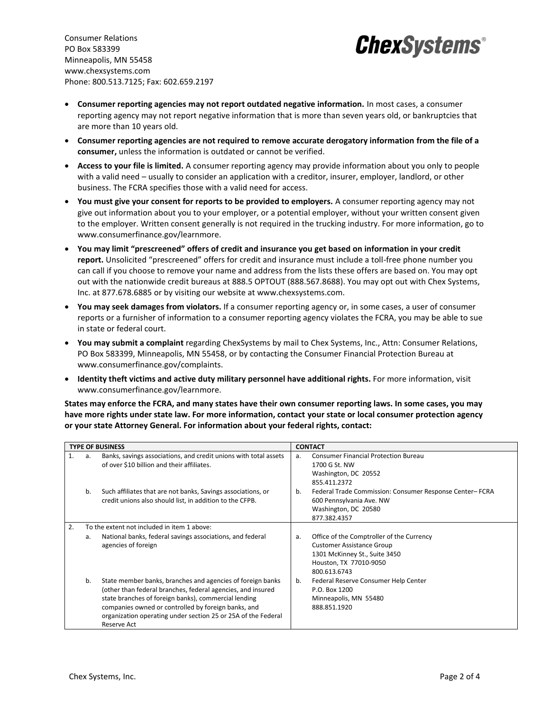Consumer Relations PO Box 583399 Minneapolis, MN 55458 www.chexsystems.com Phone: 800.513.7125; Fax: 602.659.2197



- **Consumer reporting agencies may not report outdated negative information.** In most cases, a consumer reporting agency may not report negative information that is more than seven years old, or bankruptcies that are more than 10 years old.
- **Consumer reporting agencies are not required to remove accurate derogatory information from the file of a consumer,** unless the information is outdated or cannot be verified.
- **Access to your file is limited.** A consumer reporting agency may provide information about you only to people with a valid need – usually to consider an application with a creditor, insurer, employer, landlord, or other business. The FCRA specifies those with a valid need for access.
- **You must give your consent for reports to be provided to employers.** A consumer reporting agency may not give out information about you to your employer, or a potential employer, without your written consent given to the employer. Written consent generally is not required in the trucking industry. For more information, go to www.consumerfinance.gov/learnmore.
- **You may limit "prescreened" offers of credit and insurance you get based on information in your credit report.** Unsolicited "prescreened" offers for credit and insurance must include a toll-free phone number you can call if you choose to remove your name and address from the lists these offers are based on. You may opt out with the nationwide credit bureaus at 888.5 OPTOUT (888.567.8688). You may opt out with Chex Systems, Inc. at 877.678.6885 or by visiting our website at www.chexsystems.com.
- **You may seek damages from violators.** If a consumer reporting agency or, in some cases, a user of consumer reports or a furnisher of information to a consumer reporting agency violates the FCRA, you may be able to sue in state or federal court.
- **You may submit a complaint** regarding ChexSystems by mail to Chex Systems, Inc., Attn: Consumer Relations, PO Box 583399, Minneapolis, MN 55458, or by contacting the Consumer Financial Protection Bureau at www.consumerfinance.gov/complaints.
- **Identity theft victims and active duty military personnel have additional rights.** For more information, visit www.consumerfinance.gov/learnmore.

**States may enforce the FCRA, and many states have their own consumer reporting laws. In some cases, you may have more rights under state law. For more information, contact your state or local consumer protection agency or your state Attorney General. For information about your federal rights, contact:**

| <b>TYPE OF BUSINESS</b> |    |                                                                                                                                                                                                                                                                                                                          | <b>CONTACT</b> |                                                                                                                                                          |
|-------------------------|----|--------------------------------------------------------------------------------------------------------------------------------------------------------------------------------------------------------------------------------------------------------------------------------------------------------------------------|----------------|----------------------------------------------------------------------------------------------------------------------------------------------------------|
|                         | a. | Banks, savings associations, and credit unions with total assets<br>of over \$10 billion and their affiliates.                                                                                                                                                                                                           | a.             | <b>Consumer Financial Protection Bureau</b><br>1700 G St. NW<br>Washington, DC 20552<br>855.411.2372                                                     |
|                         | b. | Such affiliates that are not banks, Savings associations, or<br>credit unions also should list, in addition to the CFPB.                                                                                                                                                                                                 | b.             | Federal Trade Commission: Consumer Response Center-FCRA<br>600 Pennsylvania Ave. NW<br>Washington, DC 20580<br>877.382.4357                              |
| 2.                      |    | To the extent not included in item 1 above:                                                                                                                                                                                                                                                                              |                |                                                                                                                                                          |
|                         | а. | National banks, federal savings associations, and federal<br>agencies of foreign                                                                                                                                                                                                                                         | a.             | Office of the Comptroller of the Currency<br><b>Customer Assistance Group</b><br>1301 McKinney St., Suite 3450<br>Houston, TX 77010-9050<br>800.613.6743 |
|                         | b. | State member banks, branches and agencies of foreign banks<br>(other than federal branches, federal agencies, and insured<br>state branches of foreign banks), commercial lending<br>companies owned or controlled by foreign banks, and<br>organization operating under section 25 or 25A of the Federal<br>Reserve Act | b.             | Federal Reserve Consumer Help Center<br>P.O. Box 1200<br>Minneapolis, MN 55480<br>888.851.1920                                                           |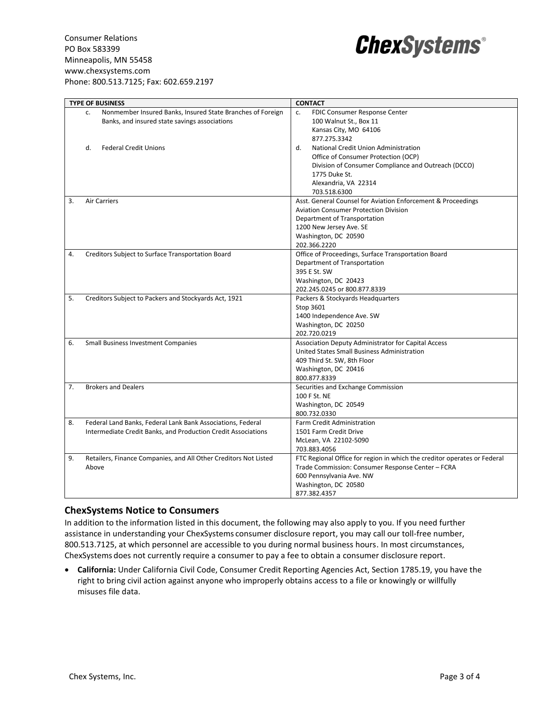

|    | <b>TYPE OF BUSINESS</b>                                          | <b>CONTACT</b>                                                           |  |
|----|------------------------------------------------------------------|--------------------------------------------------------------------------|--|
|    | Nonmember Insured Banks, Insured State Branches of Foreign<br>C. | FDIC Consumer Response Center<br>c.                                      |  |
|    | Banks, and insured state savings associations                    | 100 Walnut St., Box 11                                                   |  |
|    |                                                                  | Kansas City, MO 64106                                                    |  |
|    |                                                                  | 877.275.3342                                                             |  |
|    | <b>Federal Credit Unions</b><br>d.                               | d.<br>National Credit Union Administration                               |  |
|    |                                                                  | Office of Consumer Protection (OCP)                                      |  |
|    |                                                                  | Division of Consumer Compliance and Outreach (DCCO)                      |  |
|    |                                                                  | 1775 Duke St.                                                            |  |
|    |                                                                  | Alexandria, VA 22314                                                     |  |
|    |                                                                  | 703.518.6300                                                             |  |
| 3. | <b>Air Carriers</b>                                              | Asst. General Counsel for Aviation Enforcement & Proceedings             |  |
|    |                                                                  | <b>Aviation Consumer Protection Division</b>                             |  |
|    |                                                                  | Department of Transportation                                             |  |
|    |                                                                  | 1200 New Jersey Ave. SE                                                  |  |
|    |                                                                  | Washington, DC 20590                                                     |  |
|    |                                                                  | 202.366.2220                                                             |  |
| 4. | Creditors Subject to Surface Transportation Board                | Office of Proceedings, Surface Transportation Board                      |  |
|    |                                                                  | Department of Transportation                                             |  |
|    |                                                                  | 395 E St. SW                                                             |  |
|    |                                                                  | Washington, DC 20423                                                     |  |
|    |                                                                  | 202.245.0245 or 800.877.8339                                             |  |
| 5. | Creditors Subject to Packers and Stockyards Act, 1921            | Packers & Stockyards Headquarters                                        |  |
|    |                                                                  | Stop 3601                                                                |  |
|    |                                                                  | 1400 Independence Ave. SW                                                |  |
|    |                                                                  | Washington, DC 20250                                                     |  |
|    |                                                                  | 202.720.0219                                                             |  |
| 6. | <b>Small Business Investment Companies</b>                       | Association Deputy Administrator for Capital Access                      |  |
|    |                                                                  | United States Small Business Administration                              |  |
|    |                                                                  | 409 Third St. SW, 8th Floor                                              |  |
|    |                                                                  | Washington, DC 20416                                                     |  |
|    |                                                                  | 800.877.8339                                                             |  |
| 7. | <b>Brokers and Dealers</b>                                       | Securities and Exchange Commission                                       |  |
|    |                                                                  | 100 F St. NE                                                             |  |
|    |                                                                  | Washington, DC 20549                                                     |  |
|    |                                                                  | 800.732.0330                                                             |  |
| 8. | Federal Land Banks, Federal Lank Bank Associations, Federal      | Farm Credit Administration                                               |  |
|    | Intermediate Credit Banks, and Production Credit Associations    | 1501 Farm Credit Drive                                                   |  |
|    |                                                                  | McLean, VA 22102-5090                                                    |  |
|    |                                                                  | 703.883.4056                                                             |  |
| 9. | Retailers, Finance Companies, and All Other Creditors Not Listed | FTC Regional Office for region in which the creditor operates or Federal |  |
|    | Above                                                            | Trade Commission: Consumer Response Center - FCRA                        |  |
|    |                                                                  | 600 Pennsylvania Ave. NW                                                 |  |
|    |                                                                  | Washington, DC 20580                                                     |  |
|    |                                                                  | 877.382.4357                                                             |  |

## **ChexSystems Notice to Consumers**

In addition to the information listed in this document, the following may also apply to you. If you need further assistance in understanding your ChexSystems consumer disclosure report, you may call our toll-free number, 800.513.7125, at which personnel are accessible to you during normal business hours. In most circumstances, ChexSystems does not currently require a consumer to pay a fee to obtain a consumer disclosure report.

• **California:** Under California Civil Code, Consumer Credit Reporting Agencies Act, Section 1785.19, you have the right to bring civil action against anyone who improperly obtains access to a file or knowingly or willfully misuses file data.